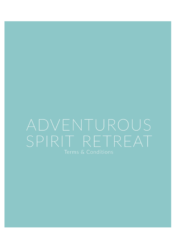# ADVENTUROUS SPIRIT RETREAT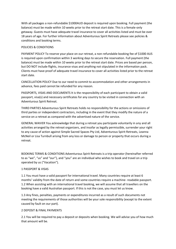With all packages a non-refundable \$1000AUD deposit is required upon booking. Full payment (the balance) must be made within 10 weeks prior to the retreat start date. This is a female-only getaway. Guests must have adequate travel insurance to cover all activities listed and must be over 18 years of age. For further information about Adventurous Spirit Retreats please see policies & conditions and booking terms.

### POLICIES & CONDITIONS

PAYMENT POLICY To reserve your place on our retreat, a non-refundable booking fee of \$1000 AUS is required upon confirmation within 3 working days to secure the reservation. Full payment (the balance) must be made within 10 weeks prior to the retreat start date. Prices are based per person, but DO NOT include flights, insurance visas and anything not stipulated in the information pack. Clients must have proof of adequate travel insurance to cover all activities listed prior to the retreat start date.

CANCELLATION POLICY Due to our need to commit to accommodation and other arrangements in advance, fees paid cannot be refunded for any reason.

PASSPORTS, VISAS AND DOCUMENTS It is the responsibility of each participant to obtain a valid passport, visa(s) and necessary certificates for any country to be visited in connection with an Adventurous Spirit Retreat.

THIRD PARTIES Adventurous Spirit Retreats holds no responsibility for the actions or omissions of third parties or independent contractors, including in the event that they modify the nature of a service on a retreat as compared with the advertised nature of the service.

GENERAL WAIVER You acknowledge that during a retreat you participate voluntarily in any and all activities arranged by the retreat organizers, and insofar as legally permissible, surrender your right to any cause of action against Simple Sacred Spaces Pty Ltd, Adventurous Spirit Retreats, Leanna McNeil or Lisa Turnbull arising from any loss or damage to person or property that occurs during a retreat.

BOOKING TERMS & CONDITIONS Adventurous Spirit Retreats is a trip operator (hereinafter referred to as "we", "us" and "our"), and "you" are an individual who wishes to book and travel on a trip operated by us ("Vacation").

### 1 PASSPORT & VISAS

1.1 You must have a valid passport for international travel. Many countries require at least 6 months' validity from the date of return and some countries require a machine- readable passport. 1.2 When assisting with an international travel booking, we will assume that all travellers on the booking have a valid Australian passport. If this is not the case, you must let us know.

1.3 Any fines, penalties, payments or expenditures incurred as a result of such documents not meeting the requirements of those authorities will be your sole responsibility (except to the extent caused by fault on our part).

### 2 DEPOSIT & FINAL PAYMENTS

2.1 You will be required to pay a deposit or deposits when booking. We will advise you of how much that amount will be.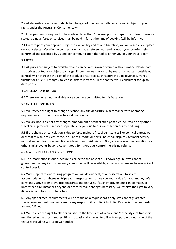2.2 All deposits are non- refundable for changes of mind or cancellations by you (subject to your rights under the Australian Consumer Law).

2.3 Final payment is required to be made no later than 10 weeks prior to departure unless otherwise stated. Some airfares or services must be paid in full at the time of booking (will be informed).

2.4 On receipt of your deposit, subject to availability and at our discretion, we will reserve your place on your selected Vacation. A contract is only made between you and us upon your booking being confirmed and accepted by us and our communication thereof to either you or your travel agent.

# 3 PRICES

3.1 All prices are subject to availability and can be withdrawn or varied without notice. Please note that prices quoted are subject to change. Price changes may occur by reason of matters outside our control which increase the cost of the product or service. Such factors include adverse currency fluctuations, fuel surcharges, taxes and airfare increase. Please contact your consultant for up-to date prices.

# 4 CANCELLATIONS BY YOU

4.1 There are no refunds available once you have committed to this Vacation.

# 5 CANCELLATIONS BY US

5.1 We reserve the right to change or cancel any trip departure in accordance with operating requirements or circumstances beyond our control.

5.2 We are not liable for any changes, amendment or cancellation penalties incurred on any other travel arrangements purchased separately by you due to our cancellation or rescheduling.

5.3 If the change or cancelation is due to force majeure (i.e. circumstances like political unrest, war or threat of war, riots, civil strife, closure of airports or ports, industrial disputes, terrorist activity, natural and nuclear disasters, fire, epidemic health risk, Acts of God, adverse weather conditions or other similar events beyond Adventurous Spirit Retreats control there is no refund.

### 6 VACATION DETAILS AND CONDITIONS

6.1 The information in our brochure is correct to the best of our knowledge, but we cannot guarantee that any item or amenity mentioned will be available, especially where we have no direct control over it.

6.2 With respect to our touring program we will do our best, at our discretion, to select accommodations, sightseeing trips and transportation to give you good value for your money. We constantly strive to improve trip itineraries and features. If such improvements can be made, or unforeseen circumstances beyond our control make changes necessary, we reserve the right to vary itineraries and to substitute hotels.

6.3 Any special meal requirements will be made on a request basis only. We cannot guarantee special meal requests nor will assume any responsibility or liability if client's special meal requests are not fulfilled.

6.4 We reserve the right to alter or substitute the type, size of vehicle and/or the style of transport mentioned in the brochure, resulting in occasionally having to utilize transport without some of the features including WiFi & power outlets.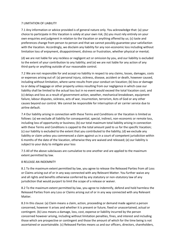### 7 LIMITATION OF LIABILITY

7.1 Any information or advice provided is of general nature only. You acknowledge that: (a) your choice to participate in this Vacation is solely at your own risk; (b) you must rely entirely on your own enquiries and judgment in relation to the Vacation or anything offered by us; (c) taste and preferences change from person to person and that we cannot possibly guarantee your satisfaction with the Vacation. Accordingly, we disclaim any liability for any non-economic loss including without limitation loss of enjoyment, disappointment, distress or frustration, whether physical or mental;

(d) we are not liable for any reckless or negligent act or omission by you, and our liability is excluded to the extent of your contribution to any liability; and (e) we are not liable for any action of any third-party or anything outside of our reasonable control.

7.2 We are not responsible for and accept no liability in respect to any claims, losses, damages, costs or expenses arising out of: (a) personal injury, sickness, disease, accident or death, however caused, including without limitation, where same results from your conduct on Vacation; (b) loss or damage to or delay of baggage or other property unless resulting from our negligence in which case our liability shall be limited to the actual loss but in no event would exceed the total Vacation cost; and (c) delays and loss as a result of government action, weather, mechanical breakdown, equipment failure, labour disputes, sickness, acts of war, insurrection, terrorism, Acts of God or any other causes beyond our control. We cannot be responsible for interruption of air carrier service due to airline default.

7.4 Our liability arising in connection with these Terms and Conditions or the Vacation is limited as follows: (a) we exclude all liability for consequential, special, indirect, non-economic or remote loss, including loss of opportunity or business; (b) our total maximum total liability arising in connection with these Terms and Conditions is capped to the total amount paid to us for the specific Vacation; (c) our liability is excluded to the extent that you contributed to the liability; (d) we exclude any liability or claim unless you commenced a claim against us in a court of competent jurisdiction within 6 months of the date of the Vacation, otherwise they are waived and released; (e) our liability is subject to your duty to mitigate your loss

7.5 All of the above subclauses are cumulative to one another and are applied to the maximum extent permitted by law.

### 8 RELEASE AN INDEMNITY

8.1 To the maximum extent permitted by law, you agree to release the Released Parties from all Loss or Claims arising out of or in any way connected with any Relevant Matter. You further waive any and all rights and benefits otherwise conferred by any statutory or non-statutory law of any jurisdiction that would purport to limit the scope of a release or waiver.

8.2 To the maximum extent permitted by law, you agree to indemnify, defend and hold harmless the Released Parties from any Loss or Claims arising out of or in any way connected with any Relevant Matter.

8.3 In this clause: (a) Claim means a claim, action, proceeding or demand made against a person concerned, however it arises and whether it is present or future, fixed or unascertained, actual or contingent. (b) Loss means a damage, loss, cost, expense or liability incurred by the person concerned however arising, including without limitation penalties, fines, and interest and including those which are prospective or contingent and those the amount of which for the time being is not ascertained or ascertainable. (c) Released Parties means us and our officers, directors, shareholders,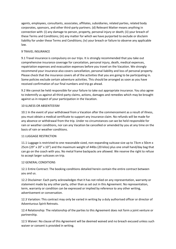agents, employees, consultants, associates, affiliates, subsidiaries, related parties, related body corporates, sponsors, and other third-party partners. (d) Relevant Matter means anything in connection with: (i) any damage to person, property, personal injury or death; (ii) your breach of these Terms and Conditions; (iii) any matter for which we have purported to exclude or disclaim liability for under these Terms and Conditions; (iv) your breach or failure to observe any applicable law.

# 9 TRAVEL INSURANCE

9.1 Travel insurance is compulsory on our trips. It is strongly recommended that you take out comprehensive insurance coverage for cancelation, personal injury, death, medical expenses, repatriation expenses and evacuation expenses before you travel on the Vacation. We strongly recommend your insurance also covers cancellation, personal liability and loss of personal property. Please check that the insurance covers all of the activities that you are going to be participating in. Some policies exclude certain adventure activities. This should be arranged as soon as you have received confirmation of our final numbers and trip go ahead.

9.2 We cannot be held responsible for your failure to take out appropriate insurance. You also agree to indemnify us against all third-party claims, actions, damages and remedies which may be brought against us in respect of your participation in the Vacation.

# 10 ILLNESS OR ABSENTEEISM

10.1 In the event of your withdrawal from a Vacation after the commencement as a result of illness, you must obtain a medical certificate to support any insurance claim. No refunds will be made for any absence or withdrawal from the trip. Under no circumstances can we be held responsible for rain or weather conditions, nor can any Vacation be cancelled or amended by you at any time on the basis of rain or weather conditions.

### 11 LUGGAGE RESTRICTION

11.1 Luggage is restricted to one reasonable sized, non-expanding suitcase size up to 73cm x 50cm x 25cm (29" x 20" x 10") and the maximum weight of 44lbs (20 kilos) plus one small hand/day bag that can go on the coach with you. No metal frame backpacks are allowed. We reserve the right to refuse to accept larger suitcases on trip.

### 12 GENERAL CONDITIONS

12.1 Entire Contract: The booking conditions detailed herein contain the entire contract between you and us.

12.2 Disclaimer: Each party acknowledges that it has not relied on any representation, warranty or statement made by any other party, other than as set out in this Agreement. No representation, term, warranty or condition can be expressed or implied by reference to any other writing, advertisement or conversation.

12.3 Variation: This contract may only be varied in writing by a duly authorised officer or director of Adventurous Spirit Retreats.

12.4 Relationship: The relationship of the parties to this Agreement does not form a joint venture or partnership.

12.5 Waiver: No clause of this Agreement will be deemed waived and no breach excused unless such waiver or consent is provided in writing.